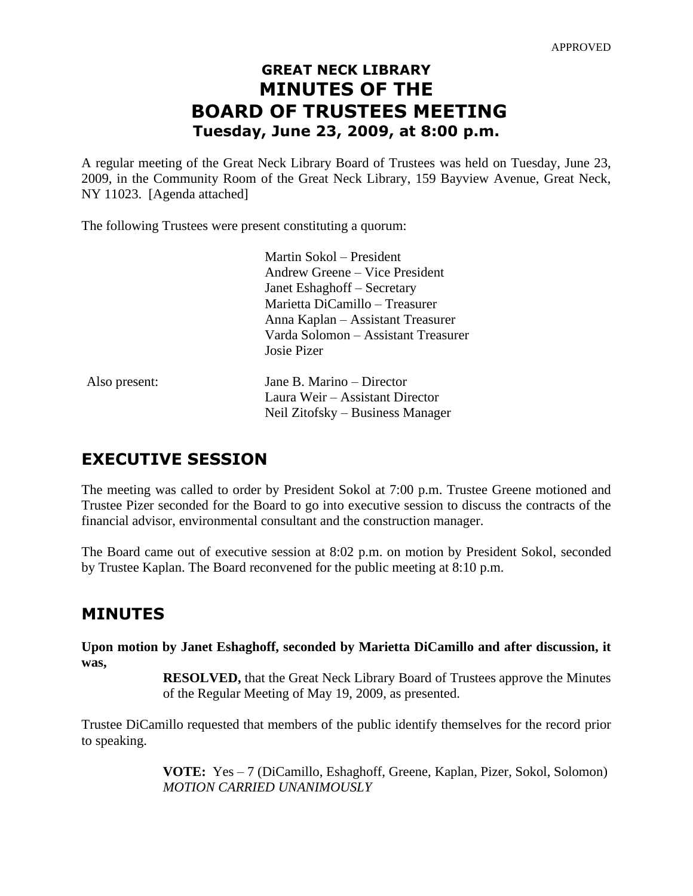# **GREAT NECK LIBRARY MINUTES OF THE BOARD OF TRUSTEES MEETING Tuesday, June 23, 2009, at 8:00 p.m.**

A regular meeting of the Great Neck Library Board of Trustees was held on Tuesday, June 23, 2009, in the Community Room of the Great Neck Library, 159 Bayview Avenue, Great Neck, NY 11023. [Agenda attached]

The following Trustees were present constituting a quorum:

|               | Martin Sokol – President            |
|---------------|-------------------------------------|
|               | Andrew Greene – Vice President      |
|               | Janet Eshaghoff – Secretary         |
|               | Marietta DiCamillo – Treasurer      |
|               | Anna Kaplan – Assistant Treasurer   |
|               | Varda Solomon - Assistant Treasurer |
|               | Josie Pizer                         |
| Also present: | Jane B. Marino – Director           |
|               | Laura Weir – Assistant Director     |
|               | Neil Zitofsky – Business Manager    |

# **EXECUTIVE SESSION**

The meeting was called to order by President Sokol at 7:00 p.m. Trustee Greene motioned and Trustee Pizer seconded for the Board to go into executive session to discuss the contracts of the financial advisor, environmental consultant and the construction manager.

The Board came out of executive session at 8:02 p.m. on motion by President Sokol, seconded by Trustee Kaplan. The Board reconvened for the public meeting at 8:10 p.m.

# **MINUTES**

**Upon motion by Janet Eshaghoff, seconded by Marietta DiCamillo and after discussion, it was,**

> **RESOLVED,** that the Great Neck Library Board of Trustees approve the Minutes of the Regular Meeting of May 19, 2009, as presented.

Trustee DiCamillo requested that members of the public identify themselves for the record prior to speaking.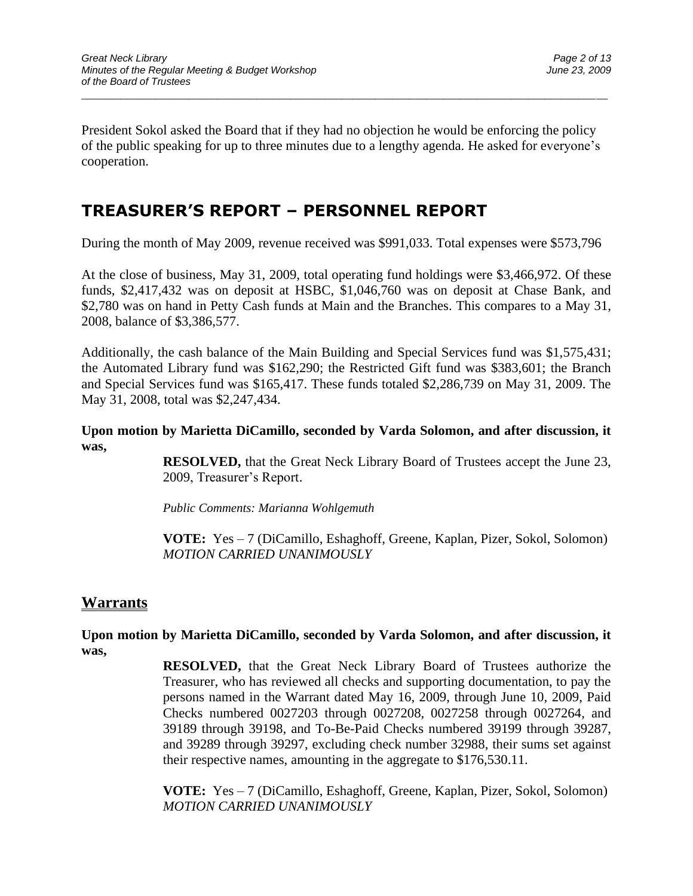President Sokol asked the Board that if they had no objection he would be enforcing the policy of the public speaking for up to three minutes due to a lengthy agenda. He asked for everyone's cooperation.

\_\_\_\_\_\_\_\_\_\_\_\_\_\_\_\_\_\_\_\_\_\_\_\_\_\_\_\_\_\_\_\_\_\_\_\_\_\_\_\_\_\_\_\_\_\_\_\_\_\_\_\_\_\_\_\_\_\_\_\_\_\_\_\_\_\_\_\_\_\_\_\_\_\_\_\_\_\_\_\_\_\_\_\_\_\_\_\_\_\_\_\_\_

# **TREASURER'S REPORT – PERSONNEL REPORT**

During the month of May 2009, revenue received was \$991,033. Total expenses were \$573,796

At the close of business, May 31, 2009, total operating fund holdings were \$3,466,972. Of these funds, \$2,417,432 was on deposit at HSBC, \$1,046,760 was on deposit at Chase Bank, and \$2,780 was on hand in Petty Cash funds at Main and the Branches. This compares to a May 31, 2008, balance of \$3,386,577.

Additionally, the cash balance of the Main Building and Special Services fund was \$1,575,431; the Automated Library fund was \$162,290; the Restricted Gift fund was \$383,601; the Branch and Special Services fund was \$165,417. These funds totaled \$2,286,739 on May 31, 2009. The May 31, 2008, total was \$2,247,434.

### **Upon motion by Marietta DiCamillo, seconded by Varda Solomon, and after discussion, it was,**

**RESOLVED,** that the Great Neck Library Board of Trustees accept the June 23, 2009, Treasurer's Report.

*Public Comments: Marianna Wohlgemuth*

**VOTE:** Yes – 7 (DiCamillo, Eshaghoff, Greene, Kaplan, Pizer, Sokol, Solomon) *MOTION CARRIED UNANIMOUSLY*

## **Warrants**

**Upon motion by Marietta DiCamillo, seconded by Varda Solomon, and after discussion, it was,**

> **RESOLVED,** that the Great Neck Library Board of Trustees authorize the Treasurer, who has reviewed all checks and supporting documentation, to pay the persons named in the Warrant dated May 16, 2009, through June 10, 2009, Paid Checks numbered 0027203 through 0027208, 0027258 through 0027264, and 39189 through 39198, and To-Be-Paid Checks numbered 39199 through 39287, and 39289 through 39297, excluding check number 32988, their sums set against their respective names, amounting in the aggregate to \$176,530.11.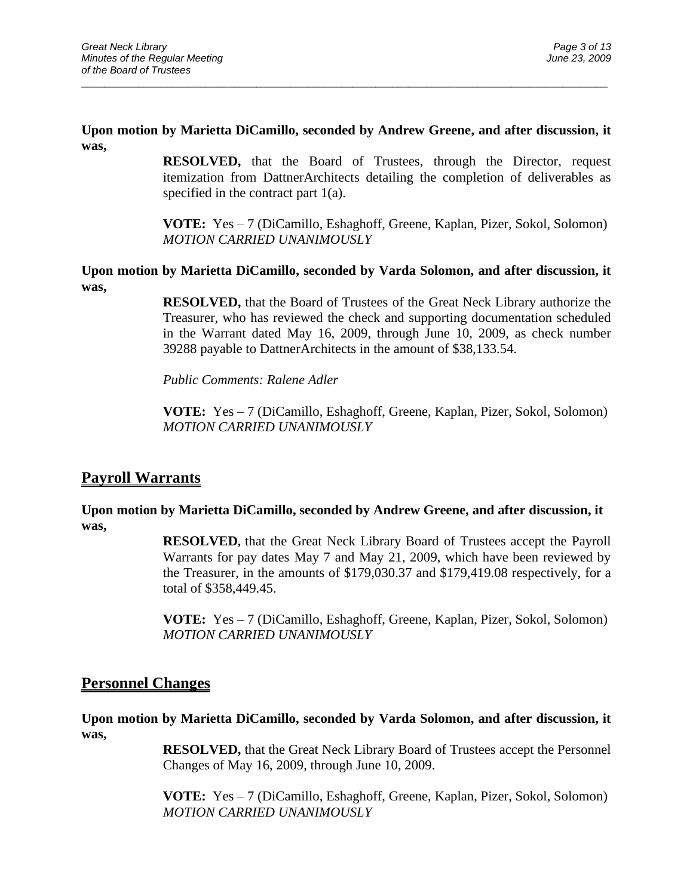### **Upon motion by Marietta DiCamillo, seconded by Andrew Greene, and after discussion, it was,**

\_\_\_\_\_\_\_\_\_\_\_\_\_\_\_\_\_\_\_\_\_\_\_\_\_\_\_\_\_\_\_\_\_\_\_\_\_\_\_\_\_\_\_\_\_\_\_\_\_\_\_\_\_\_\_\_\_\_\_\_\_\_\_\_\_\_\_\_\_\_\_\_\_\_\_\_\_\_\_\_\_\_\_\_\_\_\_\_\_\_\_\_\_

**RESOLVED,** that the Board of Trustees, through the Director, request itemization from DattnerArchitects detailing the completion of deliverables as specified in the contract part 1(a).

**VOTE:** Yes – 7 (DiCamillo, Eshaghoff, Greene, Kaplan, Pizer, Sokol, Solomon) *MOTION CARRIED UNANIMOUSLY*

**Upon motion by Marietta DiCamillo, seconded by Varda Solomon, and after discussion, it was,**

> **RESOLVED,** that the Board of Trustees of the Great Neck Library authorize the Treasurer, who has reviewed the check and supporting documentation scheduled in the Warrant dated May 16, 2009, through June 10, 2009, as check number 39288 payable to DattnerArchitects in the amount of \$38,133.54.

*Public Comments: Ralene Adler*

**VOTE:** Yes – 7 (DiCamillo, Eshaghoff, Greene, Kaplan, Pizer, Sokol, Solomon) *MOTION CARRIED UNANIMOUSLY*

## **Payroll Warrants**

### **Upon motion by Marietta DiCamillo, seconded by Andrew Greene, and after discussion, it was,**

**RESOLVED,** that the Great Neck Library Board of Trustees accept the Payroll Warrants for pay dates May 7 and May 21, 2009, which have been reviewed by the Treasurer, in the amounts of \$179,030.37 and \$179,419.08 respectively, for a total of \$358,449.45.

**VOTE:** Yes – 7 (DiCamillo, Eshaghoff, Greene, Kaplan, Pizer, Sokol, Solomon) *MOTION CARRIED UNANIMOUSLY*

## **Personnel Changes**

**Upon motion by Marietta DiCamillo, seconded by Varda Solomon, and after discussion, it was,**

> **RESOLVED,** that the Great Neck Library Board of Trustees accept the Personnel Changes of May 16, 2009, through June 10, 2009.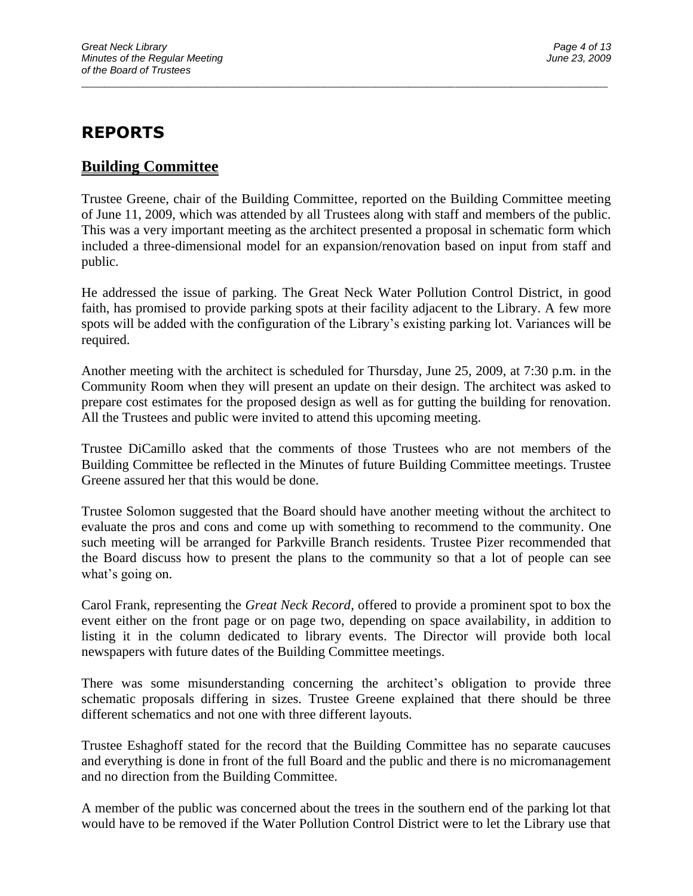# **REPORTS**

## **Building Committee**

Trustee Greene, chair of the Building Committee, reported on the Building Committee meeting of June 11, 2009, which was attended by all Trustees along with staff and members of the public. This was a very important meeting as the architect presented a proposal in schematic form which included a three-dimensional model for an expansion/renovation based on input from staff and public.

\_\_\_\_\_\_\_\_\_\_\_\_\_\_\_\_\_\_\_\_\_\_\_\_\_\_\_\_\_\_\_\_\_\_\_\_\_\_\_\_\_\_\_\_\_\_\_\_\_\_\_\_\_\_\_\_\_\_\_\_\_\_\_\_\_\_\_\_\_\_\_\_\_\_\_\_\_\_\_\_\_\_\_\_\_\_\_\_\_\_\_\_\_

He addressed the issue of parking. The Great Neck Water Pollution Control District, in good faith, has promised to provide parking spots at their facility adjacent to the Library. A few more spots will be added with the configuration of the Library's existing parking lot. Variances will be required.

Another meeting with the architect is scheduled for Thursday, June 25, 2009, at 7:30 p.m. in the Community Room when they will present an update on their design. The architect was asked to prepare cost estimates for the proposed design as well as for gutting the building for renovation. All the Trustees and public were invited to attend this upcoming meeting.

Trustee DiCamillo asked that the comments of those Trustees who are not members of the Building Committee be reflected in the Minutes of future Building Committee meetings. Trustee Greene assured her that this would be done.

Trustee Solomon suggested that the Board should have another meeting without the architect to evaluate the pros and cons and come up with something to recommend to the community. One such meeting will be arranged for Parkville Branch residents. Trustee Pizer recommended that the Board discuss how to present the plans to the community so that a lot of people can see what's going on.

Carol Frank, representing the *Great Neck Record*, offered to provide a prominent spot to box the event either on the front page or on page two, depending on space availability, in addition to listing it in the column dedicated to library events. The Director will provide both local newspapers with future dates of the Building Committee meetings.

There was some misunderstanding concerning the architect's obligation to provide three schematic proposals differing in sizes. Trustee Greene explained that there should be three different schematics and not one with three different layouts.

Trustee Eshaghoff stated for the record that the Building Committee has no separate caucuses and everything is done in front of the full Board and the public and there is no micromanagement and no direction from the Building Committee.

A member of the public was concerned about the trees in the southern end of the parking lot that would have to be removed if the Water Pollution Control District were to let the Library use that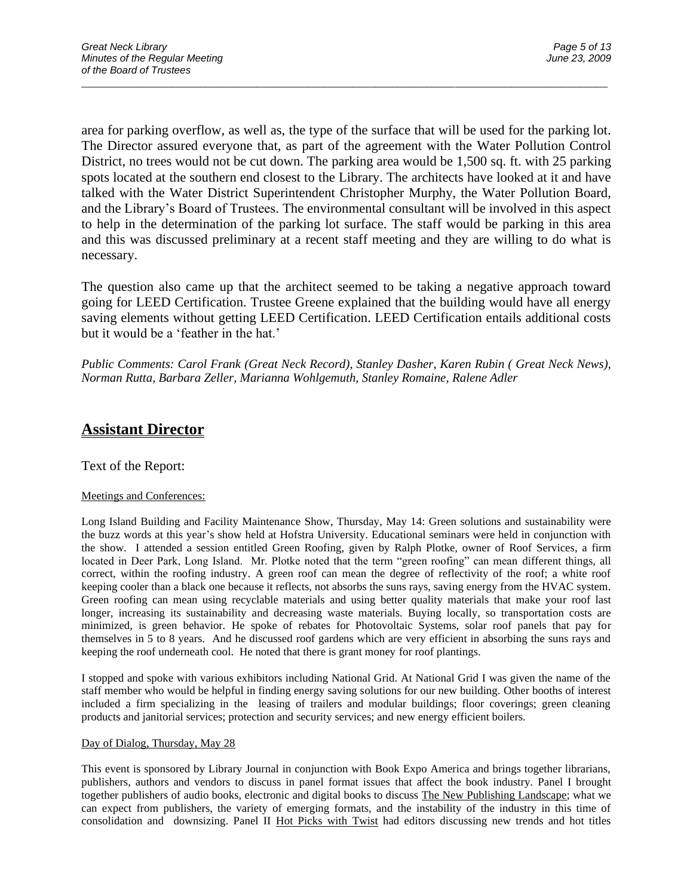area for parking overflow, as well as, the type of the surface that will be used for the parking lot. The Director assured everyone that, as part of the agreement with the Water Pollution Control District, no trees would not be cut down. The parking area would be 1,500 sq. ft. with 25 parking spots located at the southern end closest to the Library. The architects have looked at it and have talked with the Water District Superintendent Christopher Murphy, the Water Pollution Board, and the Library's Board of Trustees. The environmental consultant will be involved in this aspect to help in the determination of the parking lot surface. The staff would be parking in this area and this was discussed preliminary at a recent staff meeting and they are willing to do what is necessary.

\_\_\_\_\_\_\_\_\_\_\_\_\_\_\_\_\_\_\_\_\_\_\_\_\_\_\_\_\_\_\_\_\_\_\_\_\_\_\_\_\_\_\_\_\_\_\_\_\_\_\_\_\_\_\_\_\_\_\_\_\_\_\_\_\_\_\_\_\_\_\_\_\_\_\_\_\_\_\_\_\_\_\_\_\_\_\_\_\_\_\_\_\_

The question also came up that the architect seemed to be taking a negative approach toward going for LEED Certification. Trustee Greene explained that the building would have all energy saving elements without getting LEED Certification. LEED Certification entails additional costs but it would be a 'feather in the hat.'

*Public Comments: Carol Frank (Great Neck Record), Stanley Dasher, Karen Rubin ( Great Neck News), Norman Rutta, Barbara Zeller, Marianna Wohlgemuth, Stanley Romaine, Ralene Adler*

## **Assistant Director**

Text of the Report:

#### Meetings and Conferences:

Long Island Building and Facility Maintenance Show, Thursday, May 14: Green solutions and sustainability were the buzz words at this year's show held at Hofstra University. Educational seminars were held in conjunction with the show. I attended a session entitled Green Roofing, given by Ralph Plotke, owner of Roof Services, a firm located in Deer Park, Long Island. Mr. Plotke noted that the term "green roofing" can mean different things, all correct, within the roofing industry. A green roof can mean the degree of reflectivity of the roof; a white roof keeping cooler than a black one because it reflects, not absorbs the suns rays, saving energy from the HVAC system. Green roofing can mean using recyclable materials and using better quality materials that make your roof last longer, increasing its sustainability and decreasing waste materials. Buying locally, so transportation costs are minimized, is green behavior. He spoke of rebates for Photovoltaic Systems, solar roof panels that pay for themselves in 5 to 8 years. And he discussed roof gardens which are very efficient in absorbing the suns rays and keeping the roof underneath cool. He noted that there is grant money for roof plantings.

I stopped and spoke with various exhibitors including National Grid. At National Grid I was given the name of the staff member who would be helpful in finding energy saving solutions for our new building. Other booths of interest included a firm specializing in the leasing of trailers and modular buildings; floor coverings; green cleaning products and janitorial services; protection and security services; and new energy efficient boilers.

#### Day of Dialog, Thursday, May 28

This event is sponsored by Library Journal in conjunction with Book Expo America and brings together librarians, publishers, authors and vendors to discuss in panel format issues that affect the book industry. Panel I brought together publishers of audio books, electronic and digital books to discuss The New Publishing Landscape; what we can expect from publishers, the variety of emerging formats, and the instability of the industry in this time of consolidation and downsizing. Panel II Hot Picks with Twist had editors discussing new trends and hot titles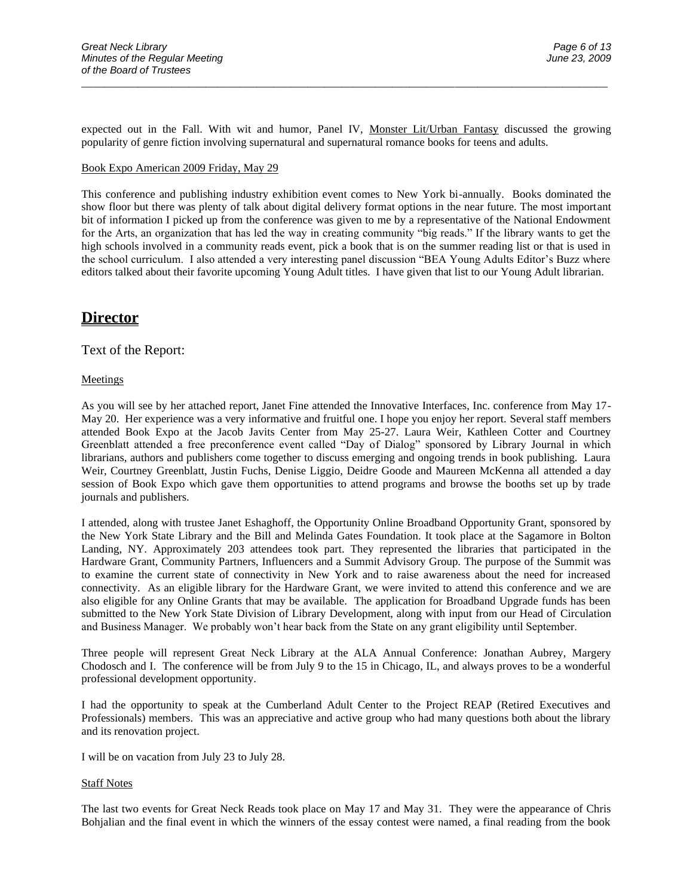expected out in the Fall. With wit and humor, Panel IV, Monster Lit/Urban Fantasy discussed the growing popularity of genre fiction involving supernatural and supernatural romance books for teens and adults.

\_\_\_\_\_\_\_\_\_\_\_\_\_\_\_\_\_\_\_\_\_\_\_\_\_\_\_\_\_\_\_\_\_\_\_\_\_\_\_\_\_\_\_\_\_\_\_\_\_\_\_\_\_\_\_\_\_\_\_\_\_\_\_\_\_\_\_\_\_\_\_\_\_\_\_\_\_\_\_\_\_\_\_\_\_\_\_\_\_\_\_\_\_

#### Book Expo American 2009 Friday, May 29

This conference and publishing industry exhibition event comes to New York bi-annually. Books dominated the show floor but there was plenty of talk about digital delivery format options in the near future. The most important bit of information I picked up from the conference was given to me by a representative of the National Endowment for the Arts, an organization that has led the way in creating community "big reads." If the library wants to get the high schools involved in a community reads event, pick a book that is on the summer reading list or that is used in the school curriculum. I also attended a very interesting panel discussion "BEA Young Adults Editor's Buzz where editors talked about their favorite upcoming Young Adult titles. I have given that list to our Young Adult librarian.

## **Director**

#### Text of the Report:

#### **Meetings**

As you will see by her attached report, Janet Fine attended the Innovative Interfaces, Inc. conference from May 17- May 20. Her experience was a very informative and fruitful one. I hope you enjoy her report. Several staff members attended Book Expo at the Jacob Javits Center from May 25-27. Laura Weir, Kathleen Cotter and Courtney Greenblatt attended a free preconference event called "Day of Dialog" sponsored by Library Journal in which librarians, authors and publishers come together to discuss emerging and ongoing trends in book publishing. Laura Weir, Courtney Greenblatt, Justin Fuchs, Denise Liggio, Deidre Goode and Maureen McKenna all attended a day session of Book Expo which gave them opportunities to attend programs and browse the booths set up by trade journals and publishers.

I attended, along with trustee Janet Eshaghoff, the Opportunity Online Broadband Opportunity Grant, sponsored by the New York State Library and the Bill and Melinda Gates Foundation. It took place at the Sagamore in Bolton Landing, NY. Approximately 203 attendees took part. They represented the libraries that participated in the Hardware Grant, Community Partners, Influencers and a Summit Advisory Group. The purpose of the Summit was to examine the current state of connectivity in New York and to raise awareness about the need for increased connectivity. As an eligible library for the Hardware Grant, we were invited to attend this conference and we are also eligible for any Online Grants that may be available. The application for Broadband Upgrade funds has been submitted to the New York State Division of Library Development, along with input from our Head of Circulation and Business Manager. We probably won't hear back from the State on any grant eligibility until September.

Three people will represent Great Neck Library at the ALA Annual Conference: Jonathan Aubrey, Margery Chodosch and I. The conference will be from July 9 to the 15 in Chicago, IL, and always proves to be a wonderful professional development opportunity.

I had the opportunity to speak at the Cumberland Adult Center to the Project REAP (Retired Executives and Professionals) members. This was an appreciative and active group who had many questions both about the library and its renovation project.

I will be on vacation from July 23 to July 28.

#### Staff Notes

The last two events for Great Neck Reads took place on May 17 and May 31. They were the appearance of Chris Bohjalian and the final event in which the winners of the essay contest were named, a final reading from the book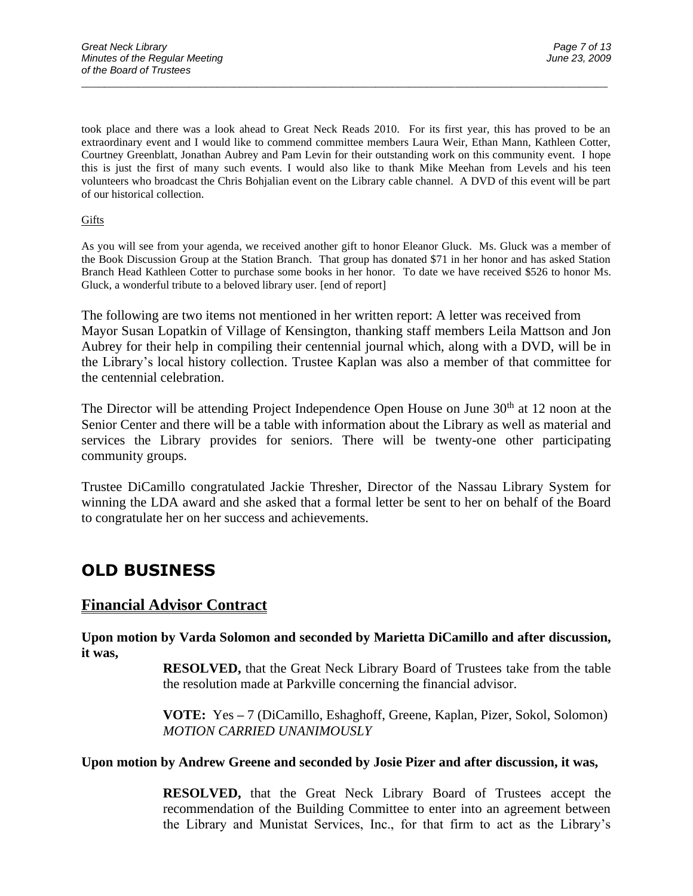took place and there was a look ahead to Great Neck Reads 2010. For its first year, this has proved to be an extraordinary event and I would like to commend committee members Laura Weir, Ethan Mann, Kathleen Cotter, Courtney Greenblatt, Jonathan Aubrey and Pam Levin for their outstanding work on this community event. I hope this is just the first of many such events. I would also like to thank Mike Meehan from Levels and his teen volunteers who broadcast the Chris Bohjalian event on the Library cable channel. A DVD of this event will be part of our historical collection.

\_\_\_\_\_\_\_\_\_\_\_\_\_\_\_\_\_\_\_\_\_\_\_\_\_\_\_\_\_\_\_\_\_\_\_\_\_\_\_\_\_\_\_\_\_\_\_\_\_\_\_\_\_\_\_\_\_\_\_\_\_\_\_\_\_\_\_\_\_\_\_\_\_\_\_\_\_\_\_\_\_\_\_\_\_\_\_\_\_\_\_\_\_

#### Gifts

As you will see from your agenda, we received another gift to honor Eleanor Gluck. Ms. Gluck was a member of the Book Discussion Group at the Station Branch. That group has donated \$71 in her honor and has asked Station Branch Head Kathleen Cotter to purchase some books in her honor. To date we have received \$526 to honor Ms. Gluck, a wonderful tribute to a beloved library user. [end of report]

The following are two items not mentioned in her written report: A letter was received from Mayor Susan Lopatkin of Village of Kensington, thanking staff members Leila Mattson and Jon Aubrey for their help in compiling their centennial journal which, along with a DVD, will be in the Library's local history collection. Trustee Kaplan was also a member of that committee for the centennial celebration.

The Director will be attending Project Independence Open House on June  $30<sup>th</sup>$  at 12 noon at the Senior Center and there will be a table with information about the Library as well as material and services the Library provides for seniors. There will be twenty-one other participating community groups.

Trustee DiCamillo congratulated Jackie Thresher, Director of the Nassau Library System for winning the LDA award and she asked that a formal letter be sent to her on behalf of the Board to congratulate her on her success and achievements.

## **OLD BUSINESS**

## **Financial Advisor Contract**

**Upon motion by Varda Solomon and seconded by Marietta DiCamillo and after discussion, it was,**

> **RESOLVED,** that the Great Neck Library Board of Trustees take from the table the resolution made at Parkville concerning the financial advisor.

> **VOTE:** Yes **–** 7 (DiCamillo, Eshaghoff, Greene, Kaplan, Pizer, Sokol, Solomon) *MOTION CARRIED UNANIMOUSLY*

### **Upon motion by Andrew Greene and seconded by Josie Pizer and after discussion, it was,**

**RESOLVED,** that the Great Neck Library Board of Trustees accept the recommendation of the Building Committee to enter into an agreement between the Library and Munistat Services, Inc., for that firm to act as the Library's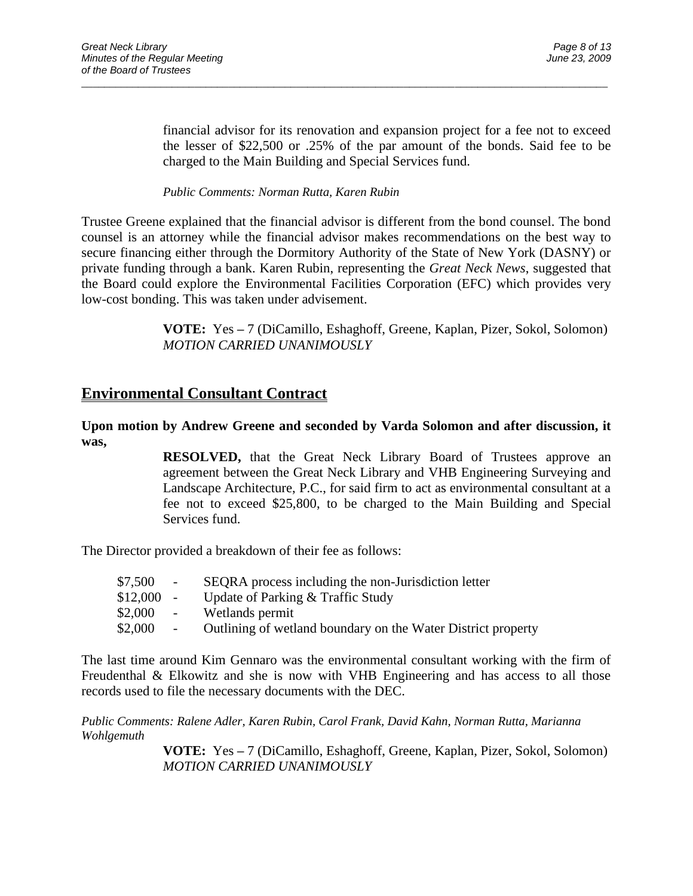financial advisor for its renovation and expansion project for a fee not to exceed the lesser of \$22,500 or .25% of the par amount of the bonds. Said fee to be charged to the Main Building and Special Services fund.

#### *Public Comments: Norman Rutta, Karen Rubin*

Trustee Greene explained that the financial advisor is different from the bond counsel. The bond counsel is an attorney while the financial advisor makes recommendations on the best way to secure financing either through the Dormitory Authority of the State of New York (DASNY) or private funding through a bank. Karen Rubin, representing the *Great Neck News*, suggested that the Board could explore the Environmental Facilities Corporation (EFC) which provides very low-cost bonding. This was taken under advisement.

\_\_\_\_\_\_\_\_\_\_\_\_\_\_\_\_\_\_\_\_\_\_\_\_\_\_\_\_\_\_\_\_\_\_\_\_\_\_\_\_\_\_\_\_\_\_\_\_\_\_\_\_\_\_\_\_\_\_\_\_\_\_\_\_\_\_\_\_\_\_\_\_\_\_\_\_\_\_\_\_\_\_\_\_\_\_\_\_\_\_\_\_\_

**VOTE:** Yes **–** 7 (DiCamillo, Eshaghoff, Greene, Kaplan, Pizer, Sokol, Solomon) *MOTION CARRIED UNANIMOUSLY*

## **Environmental Consultant Contract**

### **Upon motion by Andrew Greene and seconded by Varda Solomon and after discussion, it was,**

**RESOLVED,** that the Great Neck Library Board of Trustees approve an agreement between the Great Neck Library and VHB Engineering Surveying and Landscape Architecture, P.C., for said firm to act as environmental consultant at a fee not to exceed \$25,800, to be charged to the Main Building and Special Services fund.

The Director provided a breakdown of their fee as follows:

| \$7,500     | $\sim$ $-$ | SEQRA process including the non-Jurisdiction letter          |
|-------------|------------|--------------------------------------------------------------|
| $$12,000$ - |            | Update of Parking & Traffic Study                            |
| \$2,000     | $\sim$     | Wetlands permit                                              |
| \$2,000     |            | Outlining of wetland boundary on the Water District property |

The last time around Kim Gennaro was the environmental consultant working with the firm of Freudenthal & Elkowitz and she is now with VHB Engineering and has access to all those records used to file the necessary documents with the DEC.

*Public Comments: Ralene Adler, Karen Rubin, Carol Frank, David Kahn, Norman Rutta, Marianna Wohlgemuth*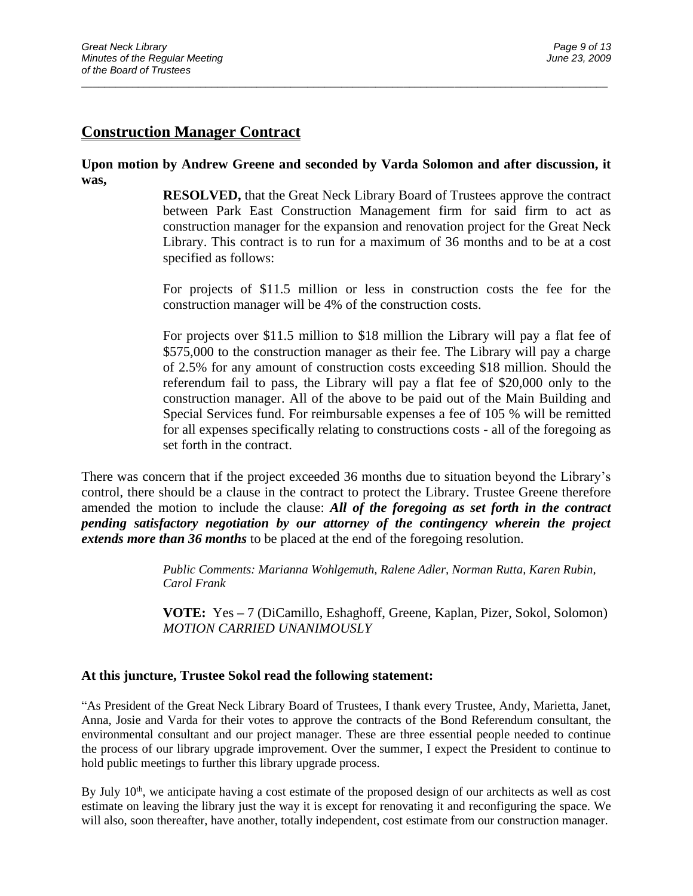## **Construction Manager Contract**

### **Upon motion by Andrew Greene and seconded by Varda Solomon and after discussion, it was,**

\_\_\_\_\_\_\_\_\_\_\_\_\_\_\_\_\_\_\_\_\_\_\_\_\_\_\_\_\_\_\_\_\_\_\_\_\_\_\_\_\_\_\_\_\_\_\_\_\_\_\_\_\_\_\_\_\_\_\_\_\_\_\_\_\_\_\_\_\_\_\_\_\_\_\_\_\_\_\_\_\_\_\_\_\_\_\_\_\_\_\_\_\_

**RESOLVED,** that the Great Neck Library Board of Trustees approve the contract between Park East Construction Management firm for said firm to act as construction manager for the expansion and renovation project for the Great Neck Library. This contract is to run for a maximum of 36 months and to be at a cost specified as follows:

For projects of \$11.5 million or less in construction costs the fee for the construction manager will be 4% of the construction costs.

For projects over \$11.5 million to \$18 million the Library will pay a flat fee of \$575,000 to the construction manager as their fee. The Library will pay a charge of 2.5% for any amount of construction costs exceeding \$18 million. Should the referendum fail to pass, the Library will pay a flat fee of \$20,000 only to the construction manager. All of the above to be paid out of the Main Building and Special Services fund. For reimbursable expenses a fee of 105 % will be remitted for all expenses specifically relating to constructions costs - all of the foregoing as set forth in the contract.

There was concern that if the project exceeded 36 months due to situation beyond the Library's control, there should be a clause in the contract to protect the Library. Trustee Greene therefore amended the motion to include the clause: *All of the foregoing as set forth in the contract pending satisfactory negotiation by our attorney of the contingency wherein the project extends more than 36 months* to be placed at the end of the foregoing resolution.

> *Public Comments: Marianna Wohlgemuth, Ralene Adler, Norman Rutta, Karen Rubin, Carol Frank*

**VOTE:** Yes **–** 7 (DiCamillo, Eshaghoff, Greene, Kaplan, Pizer, Sokol, Solomon) *MOTION CARRIED UNANIMOUSLY*

### **At this juncture, Trustee Sokol read the following statement:**

"As President of the Great Neck Library Board of Trustees, I thank every Trustee, Andy, Marietta, Janet, Anna, Josie and Varda for their votes to approve the contracts of the Bond Referendum consultant, the environmental consultant and our project manager. These are three essential people needed to continue the process of our library upgrade improvement. Over the summer, I expect the President to continue to hold public meetings to further this library upgrade process.

By July  $10<sup>th</sup>$ , we anticipate having a cost estimate of the proposed design of our architects as well as cost estimate on leaving the library just the way it is except for renovating it and reconfiguring the space. We will also, soon thereafter, have another, totally independent, cost estimate from our construction manager.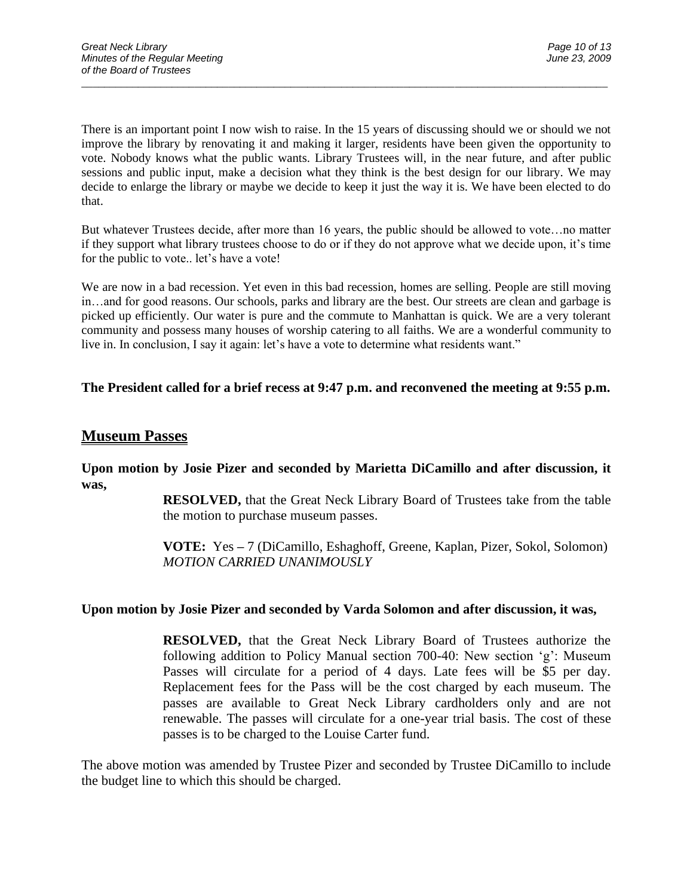There is an important point I now wish to raise. In the 15 years of discussing should we or should we not improve the library by renovating it and making it larger, residents have been given the opportunity to vote. Nobody knows what the public wants. Library Trustees will, in the near future, and after public sessions and public input, make a decision what they think is the best design for our library. We may decide to enlarge the library or maybe we decide to keep it just the way it is. We have been elected to do that.

\_\_\_\_\_\_\_\_\_\_\_\_\_\_\_\_\_\_\_\_\_\_\_\_\_\_\_\_\_\_\_\_\_\_\_\_\_\_\_\_\_\_\_\_\_\_\_\_\_\_\_\_\_\_\_\_\_\_\_\_\_\_\_\_\_\_\_\_\_\_\_\_\_\_\_\_\_\_\_\_\_\_\_\_\_\_\_\_\_\_\_\_\_

But whatever Trustees decide, after more than 16 years, the public should be allowed to vote…no matter if they support what library trustees choose to do or if they do not approve what we decide upon, it's time for the public to vote.. let's have a vote!

We are now in a bad recession. Yet even in this bad recession, homes are selling. People are still moving in…and for good reasons. Our schools, parks and library are the best. Our streets are clean and garbage is picked up efficiently. Our water is pure and the commute to Manhattan is quick. We are a very tolerant community and possess many houses of worship catering to all faiths. We are a wonderful community to live in. In conclusion, I say it again: let's have a vote to determine what residents want."

### **The President called for a brief recess at 9:47 p.m. and reconvened the meeting at 9:55 p.m.**

## **Museum Passes**

**Upon motion by Josie Pizer and seconded by Marietta DiCamillo and after discussion, it was,**

> **RESOLVED,** that the Great Neck Library Board of Trustees take from the table the motion to purchase museum passes.

> **VOTE:** Yes **–** 7 (DiCamillo, Eshaghoff, Greene, Kaplan, Pizer, Sokol, Solomon) *MOTION CARRIED UNANIMOUSLY*

#### **Upon motion by Josie Pizer and seconded by Varda Solomon and after discussion, it was,**

**RESOLVED,** that the Great Neck Library Board of Trustees authorize the following addition to Policy Manual section 700-40: New section 'g': Museum Passes will circulate for a period of 4 days. Late fees will be \$5 per day. Replacement fees for the Pass will be the cost charged by each museum. The passes are available to Great Neck Library cardholders only and are not renewable. The passes will circulate for a one-year trial basis. The cost of these passes is to be charged to the Louise Carter fund.

The above motion was amended by Trustee Pizer and seconded by Trustee DiCamillo to include the budget line to which this should be charged.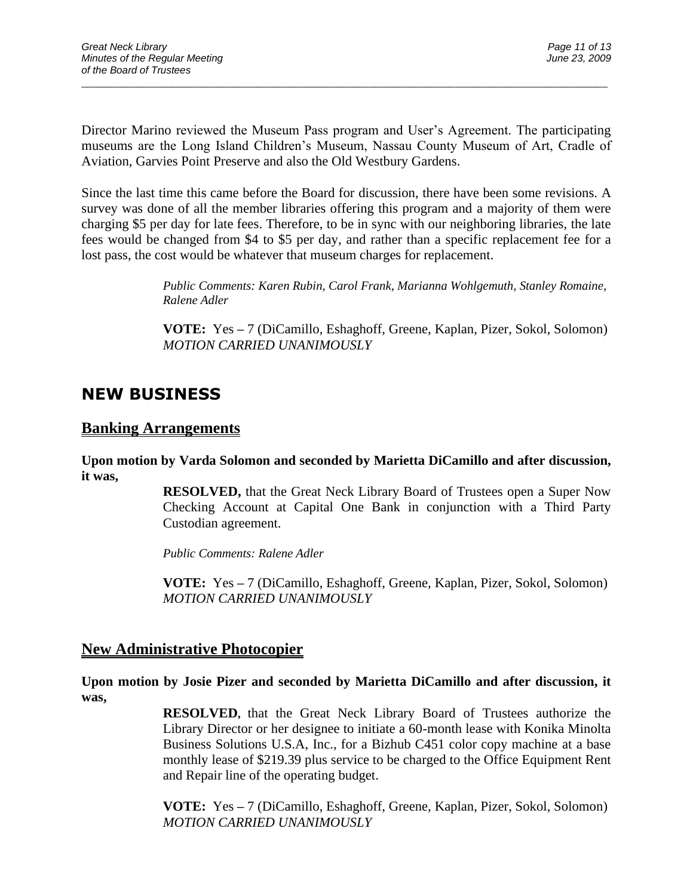Director Marino reviewed the Museum Pass program and User's Agreement. The participating museums are the Long Island Children's Museum, Nassau County Museum of Art, Cradle of Aviation, Garvies Point Preserve and also the Old Westbury Gardens.

\_\_\_\_\_\_\_\_\_\_\_\_\_\_\_\_\_\_\_\_\_\_\_\_\_\_\_\_\_\_\_\_\_\_\_\_\_\_\_\_\_\_\_\_\_\_\_\_\_\_\_\_\_\_\_\_\_\_\_\_\_\_\_\_\_\_\_\_\_\_\_\_\_\_\_\_\_\_\_\_\_\_\_\_\_\_\_\_\_\_\_\_\_

Since the last time this came before the Board for discussion, there have been some revisions. A survey was done of all the member libraries offering this program and a majority of them were charging \$5 per day for late fees. Therefore, to be in sync with our neighboring libraries, the late fees would be changed from \$4 to \$5 per day, and rather than a specific replacement fee for a lost pass, the cost would be whatever that museum charges for replacement.

> *Public Comments: Karen Rubin, Carol Frank, Marianna Wohlgemuth, Stanley Romaine, Ralene Adler*

> **VOTE:** Yes **–** 7 (DiCamillo, Eshaghoff, Greene, Kaplan, Pizer, Sokol, Solomon) *MOTION CARRIED UNANIMOUSLY*

# **NEW BUSINESS**

## **Banking Arrangements**

**Upon motion by Varda Solomon and seconded by Marietta DiCamillo and after discussion, it was,**

> **RESOLVED,** that the Great Neck Library Board of Trustees open a Super Now Checking Account at Capital One Bank in conjunction with a Third Party Custodian agreement.

*Public Comments: Ralene Adler*

**VOTE:** Yes **–** 7 (DiCamillo, Eshaghoff, Greene, Kaplan, Pizer, Sokol, Solomon) *MOTION CARRIED UNANIMOUSLY*

## **New Administrative Photocopier**

**Upon motion by Josie Pizer and seconded by Marietta DiCamillo and after discussion, it was,**

> **RESOLVED,** that the Great Neck Library Board of Trustees authorize the Library Director or her designee to initiate a 60-month lease with Konika Minolta Business Solutions U.S.A, Inc., for a Bizhub C451 color copy machine at a base monthly lease of \$219.39 plus service to be charged to the Office Equipment Rent and Repair line of the operating budget.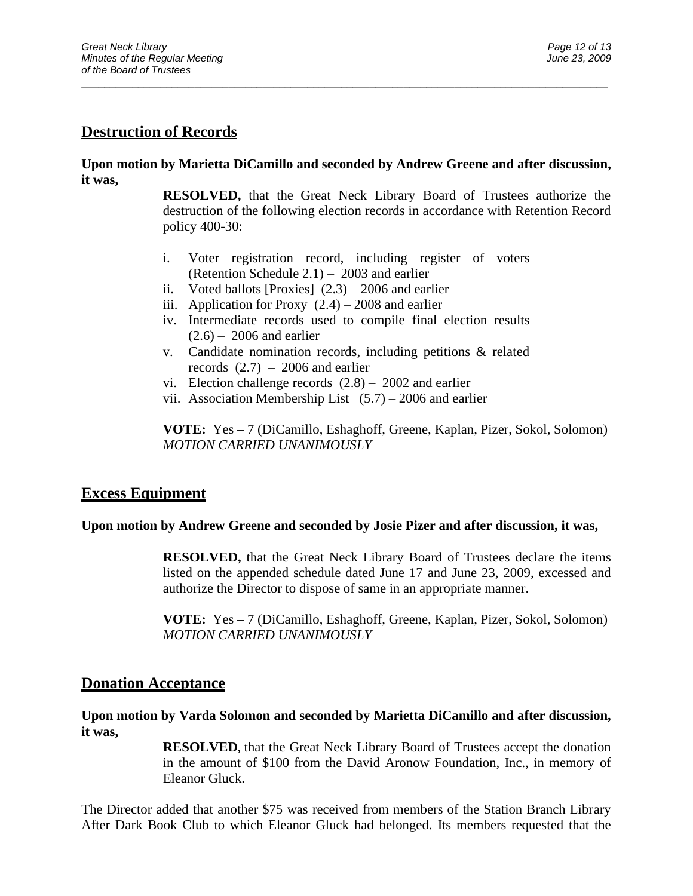## **Destruction of Records**

### **Upon motion by Marietta DiCamillo and seconded by Andrew Greene and after discussion, it was,**

\_\_\_\_\_\_\_\_\_\_\_\_\_\_\_\_\_\_\_\_\_\_\_\_\_\_\_\_\_\_\_\_\_\_\_\_\_\_\_\_\_\_\_\_\_\_\_\_\_\_\_\_\_\_\_\_\_\_\_\_\_\_\_\_\_\_\_\_\_\_\_\_\_\_\_\_\_\_\_\_\_\_\_\_\_\_\_\_\_\_\_\_\_

**RESOLVED,** that the Great Neck Library Board of Trustees authorize the destruction of the following election records in accordance with Retention Record policy 400-30:

- i. Voter registration record, including register of voters (Retention Schedule 2.1) – 2003 and earlier
- ii. Voted ballots [Proxies]  $(2.3) 2006$  and earlier
- iii. Application for Proxy  $(2.4) 2008$  and earlier
- iv. Intermediate records used to compile final election results  $(2.6)$  – 2006 and earlier
- v. Candidate nomination records, including petitions & related records  $(2.7) - 2006$  and earlier
- vi. Election challenge records (2.8) 2002 and earlier
- vii. Association Membership List  $(5.7) 2006$  and earlier

**VOTE:** Yes **–** 7 (DiCamillo, Eshaghoff, Greene, Kaplan, Pizer, Sokol, Solomon) *MOTION CARRIED UNANIMOUSLY*

## **Excess Equipment**

### **Upon motion by Andrew Greene and seconded by Josie Pizer and after discussion, it was,**

**RESOLVED,** that the Great Neck Library Board of Trustees declare the items listed on the appended schedule dated June 17 and June 23, 2009, excessed and authorize the Director to dispose of same in an appropriate manner.

**VOTE:** Yes **–** 7 (DiCamillo, Eshaghoff, Greene, Kaplan, Pizer, Sokol, Solomon) *MOTION CARRIED UNANIMOUSLY*

## **Donation Acceptance**

### **Upon motion by Varda Solomon and seconded by Marietta DiCamillo and after discussion, it was,**

**RESOLVED,** that the Great Neck Library Board of Trustees accept the donation in the amount of \$100 from the David Aronow Foundation, Inc., in memory of Eleanor Gluck.

The Director added that another \$75 was received from members of the Station Branch Library After Dark Book Club to which Eleanor Gluck had belonged. Its members requested that the